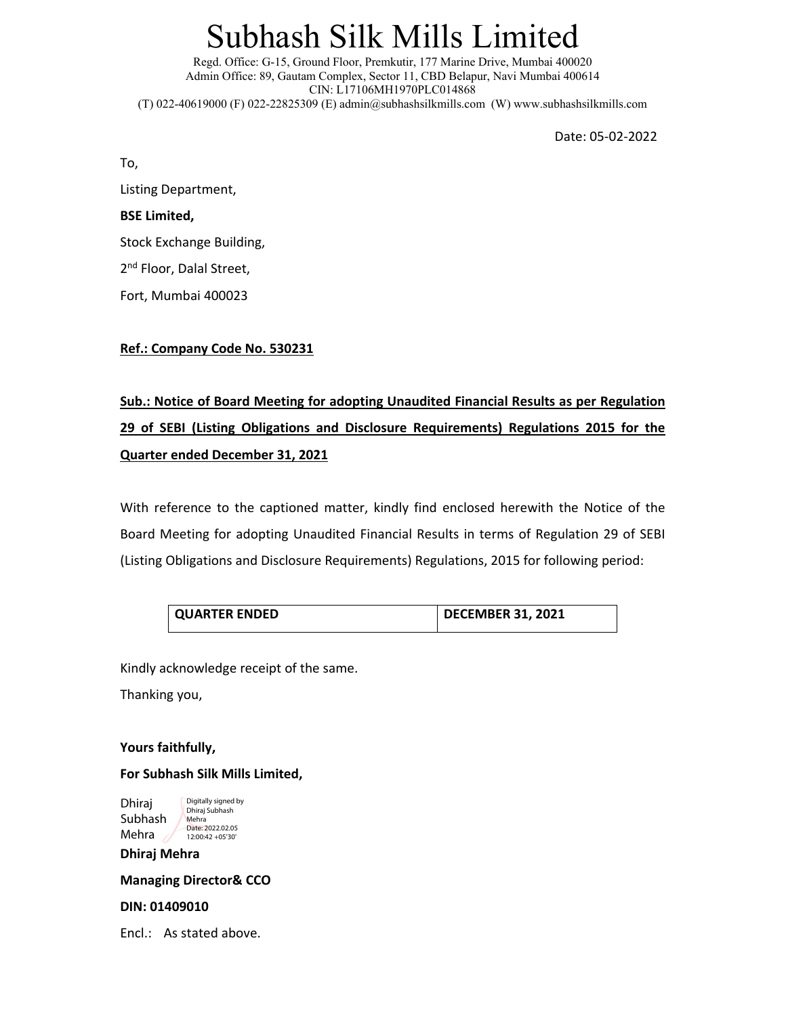# Subhash Silk Mills Limited

Regd. Office: G-15, Ground Floor, Premkutir, 177 Marine Drive, Mumbai 400020 Admin Office: 89, Gautam Complex, Sector 11, CBD Belapur, Navi Mumbai 400614 CIN: L17106MH1970PLC014868 (T) 022-40619000 (F) 022-22825309 (E) admin@subhashsilkmills.com (W) www.subhashsilkmills.com

Date: 05‐02‐2022

To,

Listing Department,

## **BSE Limited,**

Stock Exchange Building,

2<sup>nd</sup> Floor, Dalal Street,

Fort, Mumbai 400023

## **Ref.: Company Code No. 530231**

## **Sub.: Notice of Board Meeting for adopting Unaudited Financial Results as per Regulation 29 of SEBI (Listing Obligations and Disclosure Requirements) Regulations 2015 for the Quarter ended December 31, 2021**

With reference to the captioned matter, kindly find enclosed herewith the Notice of the Board Meeting for adopting Unaudited Financial Results in terms of Regulation 29 of SEBI (Listing Obligations and Disclosure Requirements) Regulations, 2015 for following period:

| QUARTER ENDED | DECEMBER 31, 2021 |
|---------------|-------------------|

Kindly acknowledge receipt of the same.

Thanking you,

## **Yours faithfully,**

### **For Subhash Silk Mills Limited,**

**Dhiraj Mehra**  Dhiraj Subhash Mehra Digitally signed by Dhiraj Subhash Mehra Date: 2022.02.05 12:00:42 +05'30'

## **Managing Director& CCO**

### **DIN: 01409010**

Encl.: As stated above.